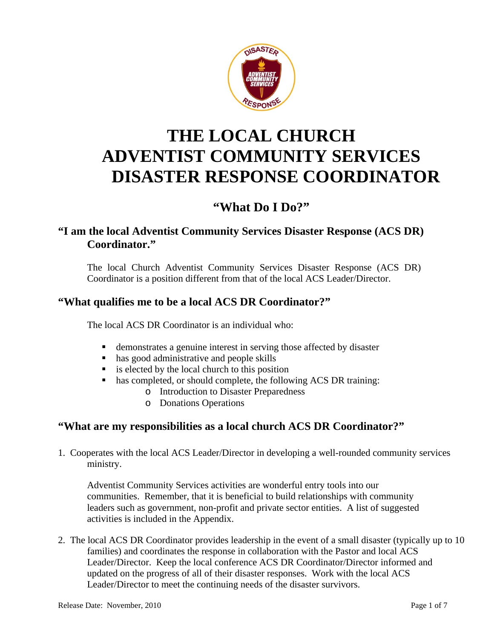

## **THE LOCAL CHURCH ADVENTIST COMMUNITY SERVICES DISASTER RESPONSE COORDINATOR**

## **"What Do I Do?"**

## **"I am the local Adventist Community Services Disaster Response (ACS DR) Coordinator."**

The local Church Adventist Community Services Disaster Response (ACS DR) Coordinator is a position different from that of the local ACS Leader/Director.

### **"What qualifies me to be a local ACS DR Coordinator?"**

The local ACS DR Coordinator is an individual who:

- demonstrates a genuine interest in serving those affected by disaster
- has good administrative and people skills
- $\blacksquare$  is elected by the local church to this position
- has completed, or should complete, the following ACS DR training:
	- o Introduction to Disaster Preparedness
		- o Donations Operations

#### **"What are my responsibilities as a local church ACS DR Coordinator?"**

1. Cooperates with the local ACS Leader/Director in developing a well-rounded community services ministry.

Adventist Community Services activities are wonderful entry tools into our communities. Remember, that it is beneficial to build relationships with community leaders such as government, non-profit and private sector entities. A list of suggested activities is included in the Appendix.

2. The local ACS DR Coordinator provides leadership in the event of a small disaster (typically up to 10 families) and coordinates the response in collaboration with the Pastor and local ACS Leader/Director. Keep the local conference ACS DR Coordinator/Director informed and updated on the progress of all of their disaster responses. Work with the local ACS Leader/Director to meet the continuing needs of the disaster survivors.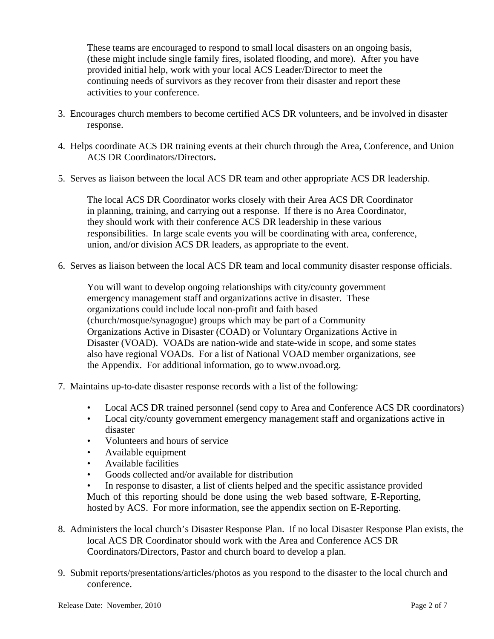These teams are encouraged to respond to small local disasters on an ongoing basis, (these might include single family fires, isolated flooding, and more). After you have provided initial help, work with your local ACS Leader/Director to meet the continuing needs of survivors as they recover from their disaster and report these activities to your conference.

- 3. Encourages church members to become certified ACS DR volunteers, and be involved in disaster response.
- 4. Helps coordinate ACS DR training events at their church through the Area, Conference, and Union ACS DR Coordinators/Directors**.**
- 5. Serves as liaison between the local ACS DR team and other appropriate ACS DR leadership.

The local ACS DR Coordinator works closely with their Area ACS DR Coordinator in planning, training, and carrying out a response. If there is no Area Coordinator, they should work with their conference ACS DR leadership in these various responsibilities. In large scale events you will be coordinating with area, conference, union, and/or division ACS DR leaders, as appropriate to the event.

6. Serves as liaison between the local ACS DR team and local community disaster response officials.

You will want to develop ongoing relationships with city/county government emergency management staff and organizations active in disaster. These organizations could include local non-profit and faith based (church/mosque/synagogue) groups which may be part of a Community Organizations Active in Disaster (COAD) or Voluntary Organizations Active in Disaster (VOAD). VOADs are nation-wide and state-wide in scope, and some states also have regional VOADs. For a list of National VOAD member organizations, see the Appendix. For additional information, go to www.nvoad.org.

- 7. Maintains up-to-date disaster response records with a list of the following:
	- Local ACS DR trained personnel (send copy to Area and Conference ACS DR coordinators)
	- Local city/county government emergency management staff and organizations active in disaster
	- Volunteers and hours of service
	- Available equipment
	- Available facilities
	- Goods collected and/or available for distribution
	- In response to disaster, a list of clients helped and the specific assistance provided Much of this reporting should be done using the web based software, E-Reporting, hosted by ACS. For more information, see the appendix section on E-Reporting.
- 8. Administers the local church's Disaster Response Plan. If no local Disaster Response Plan exists, the local ACS DR Coordinator should work with the Area and Conference ACS DR Coordinators/Directors, Pastor and church board to develop a plan.
- 9. Submit reports/presentations/articles/photos as you respond to the disaster to the local church and conference.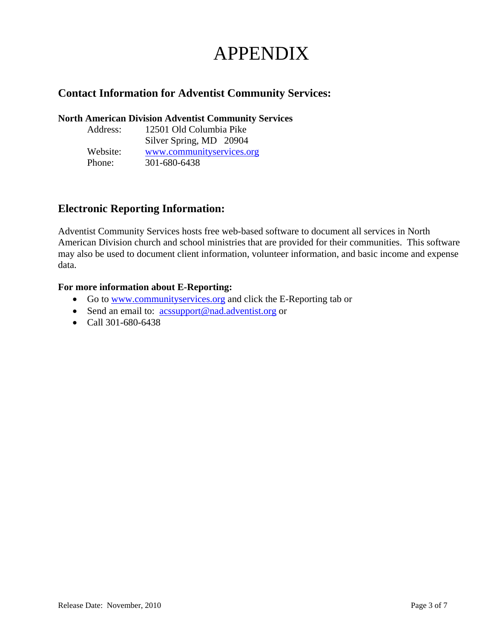# APPENDIX

## **Contact Information for Adventist Community Services:**

#### **North American Division Adventist Community Services**

| Address: | 12501 Old Columbia Pike   |
|----------|---------------------------|
|          | Silver Spring, MD 20904   |
| Website: | www.communityservices.org |
| Phone:   | 301-680-6438              |

### **Electronic Reporting Information:**

Adventist Community Services hosts free web-based software to document all services in North American Division church and school ministries that are provided for their communities. This software may also be used to document client information, volunteer information, and basic income and expense data.

#### **For more information about E-Reporting:**

- Go to www.communityservices.org and click the E-Reporting tab or
- Send an email to: acssupport@nad.adventist.org or
- Call 301-680-6438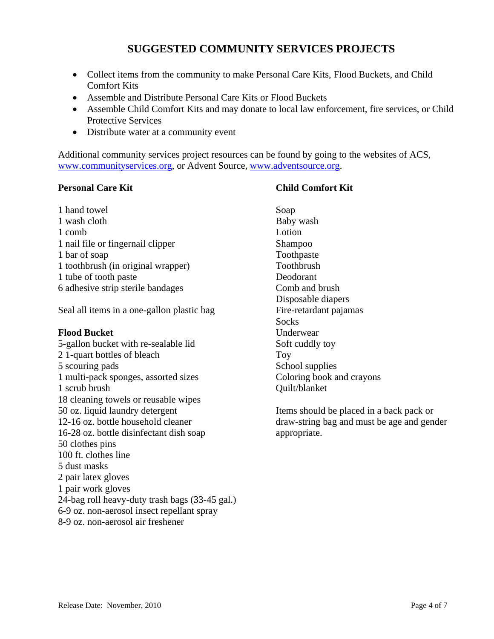## **SUGGESTED COMMUNITY SERVICES PROJECTS**

- Collect items from the community to make Personal Care Kits, Flood Buckets, and Child Comfort Kits
- Assemble and Distribute Personal Care Kits or Flood Buckets
- Assemble Child Comfort Kits and may donate to local law enforcement, fire services, or Child Protective Services
- Distribute water at a community event

Additional community services project resources can be found by going to the websites of ACS, www.communityservices.org, or Advent Source, www.adventsource.org.

#### **Personal Care Kit**

1 hand towel 1 wash cloth 1 comb 1 nail file or fingernail clipper 1 bar of soap 1 toothbrush (in original wrapper) 1 tube of tooth paste 6 adhesive strip sterile bandages

Seal all items in a one-gallon plastic bag

#### **Flood Bucket**

5-gallon bucket with re-sealable lid 2 1-quart bottles of bleach 5 scouring pads 1 multi-pack sponges, assorted sizes 1 scrub brush 18 cleaning towels or reusable wipes 50 oz. liquid laundry detergent 12-16 oz. bottle household cleaner 16-28 oz. bottle disinfectant dish soap 50 clothes pins 100 ft. clothes line 5 dust masks 2 pair latex gloves 1 pair work gloves 24-bag roll heavy-duty trash bags (33-45 gal.) 6-9 oz. non-aerosol insect repellant spray 8-9 oz. non-aerosol air freshener

#### **Child Comfort Kit**

Soap Baby wash Lotion Shampoo Toothpaste Toothbrush Deodorant Comb and brush Disposable diapers Fire-retardant pajamas **Socks** Underwear Soft cuddly toy Toy School supplies Coloring book and crayons Quilt/blanket

Items should be placed in a back pack or draw-string bag and must be age and gender appropriate.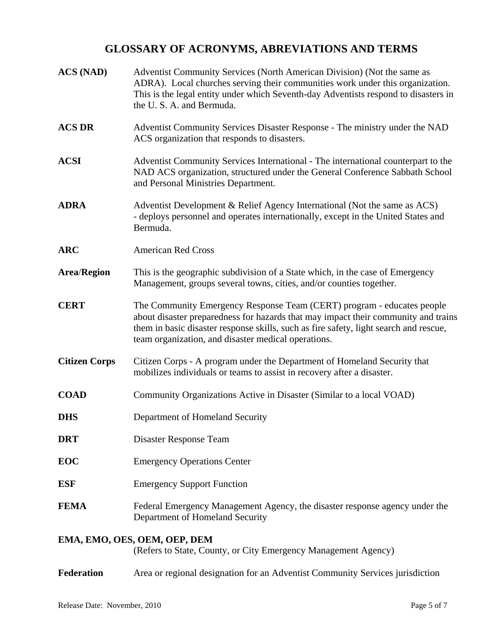### **GLOSSARY OF ACRONYMS, ABREVIATIONS AND TERMS**

| <b>ACS (NAD)</b>             | Adventist Community Services (North American Division) (Not the same as<br>ADRA). Local churches serving their communities work under this organization.<br>This is the legal entity under which Seventh-day Adventists respond to disasters in<br>the U.S.A. and Bermuda.                                   |
|------------------------------|--------------------------------------------------------------------------------------------------------------------------------------------------------------------------------------------------------------------------------------------------------------------------------------------------------------|
| <b>ACS DR</b>                | Adventist Community Services Disaster Response - The ministry under the NAD<br>ACS organization that responds to disasters.                                                                                                                                                                                  |
| <b>ACSI</b>                  | Adventist Community Services International - The international counterpart to the<br>NAD ACS organization, structured under the General Conference Sabbath School<br>and Personal Ministries Department.                                                                                                     |
| <b>ADRA</b>                  | Adventist Development & Relief Agency International (Not the same as ACS)<br>- deploys personnel and operates internationally, except in the United States and<br>Bermuda.                                                                                                                                   |
| <b>ARC</b>                   | <b>American Red Cross</b>                                                                                                                                                                                                                                                                                    |
| <b>Area/Region</b>           | This is the geographic subdivision of a State which, in the case of Emergency<br>Management, groups several towns, cities, and/or counties together.                                                                                                                                                         |
| <b>CERT</b>                  | The Community Emergency Response Team (CERT) program - educates people<br>about disaster preparedness for hazards that may impact their community and trains<br>them in basic disaster response skills, such as fire safety, light search and rescue,<br>team organization, and disaster medical operations. |
| <b>Citizen Corps</b>         | Citizen Corps - A program under the Department of Homeland Security that<br>mobilizes individuals or teams to assist in recovery after a disaster.                                                                                                                                                           |
| <b>COAD</b>                  | Community Organizations Active in Disaster (Similar to a local VOAD)                                                                                                                                                                                                                                         |
| <b>DHS</b>                   | Department of Homeland Security                                                                                                                                                                                                                                                                              |
| <b>DRT</b>                   | Disaster Response Team                                                                                                                                                                                                                                                                                       |
| <b>EOC</b>                   | <b>Emergency Operations Center</b>                                                                                                                                                                                                                                                                           |
| <b>ESF</b>                   | <b>Emergency Support Function</b>                                                                                                                                                                                                                                                                            |
| <b>FEMA</b>                  | Federal Emergency Management Agency, the disaster response agency under the<br>Department of Homeland Security                                                                                                                                                                                               |
| EMA, EMO, OES, OEM, OEP, DEM |                                                                                                                                                                                                                                                                                                              |

(Refers to State, County, or City Emergency Management Agency)

**Federation** Area or regional designation for an Adventist Community Services jurisdiction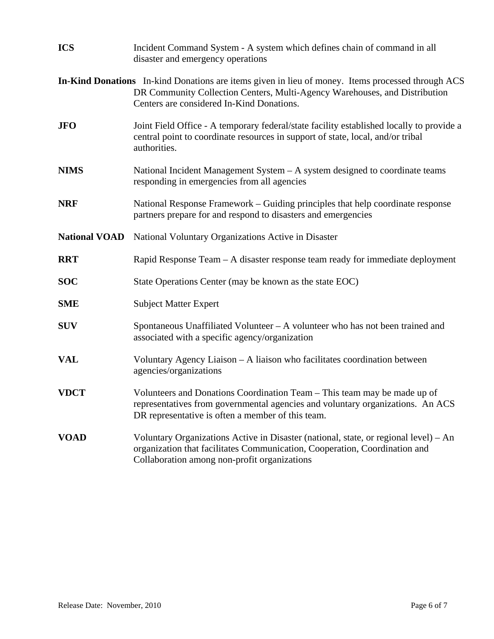| <b>ICS</b>           | Incident Command System - A system which defines chain of command in all<br>disaster and emergency operations                                                                                                                |  |
|----------------------|------------------------------------------------------------------------------------------------------------------------------------------------------------------------------------------------------------------------------|--|
|                      | In-Kind Donations In-kind Donations are items given in lieu of money. Items processed through ACS<br>DR Community Collection Centers, Multi-Agency Warehouses, and Distribution<br>Centers are considered In-Kind Donations. |  |
| <b>JFO</b>           | Joint Field Office - A temporary federal/state facility established locally to provide a<br>central point to coordinate resources in support of state, local, and/or tribal<br>authorities.                                  |  |
| <b>NIMS</b>          | National Incident Management System – A system designed to coordinate teams<br>responding in emergencies from all agencies                                                                                                   |  |
| <b>NRF</b>           | National Response Framework – Guiding principles that help coordinate response<br>partners prepare for and respond to disasters and emergencies                                                                              |  |
| <b>National VOAD</b> | National Voluntary Organizations Active in Disaster                                                                                                                                                                          |  |
| <b>RRT</b>           | Rapid Response Team – A disaster response team ready for immediate deployment                                                                                                                                                |  |
| <b>SOC</b>           | State Operations Center (may be known as the state EOC)                                                                                                                                                                      |  |
| <b>SME</b>           | <b>Subject Matter Expert</b>                                                                                                                                                                                                 |  |
| <b>SUV</b>           | Spontaneous Unaffiliated Volunteer $-A$ volunteer who has not been trained and<br>associated with a specific agency/organization                                                                                             |  |
| <b>VAL</b>           | Voluntary Agency Liaison - A liaison who facilitates coordination between<br>agencies/organizations                                                                                                                          |  |
| <b>VDCT</b>          | Volunteers and Donations Coordination Team – This team may be made up of<br>representatives from governmental agencies and voluntary organizations. An ACS<br>DR representative is often a member of this team.              |  |
| <b>VOAD</b>          | Voluntary Organizations Active in Disaster (national, state, or regional level) – An<br>organization that facilitates Communication, Cooperation, Coordination and<br>Collaboration among non-profit organizations           |  |